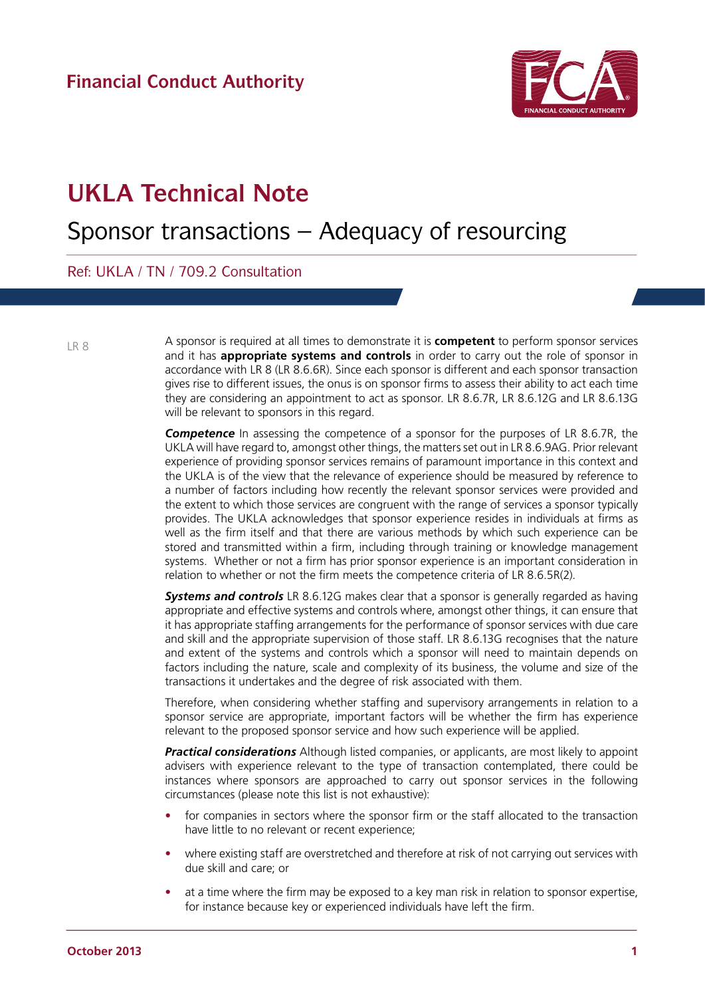

## **UKLA Technical Note**

## Sponsor transactions – Adequacy of resourcing

Ref: UKLA / TN / 709.2 Consultation

LR 8

A sponsor is required at all times to demonstrate it is **competent** to perform sponsor services and it has **appropriate systems and controls** in order to carry out the role of sponsor in accordance with LR 8 (LR 8.6.6R). Since each sponsor is different and each sponsor transaction gives rise to different issues, the onus is on sponsor firms to assess their ability to act each time they are considering an appointment to act as sponsor. LR 8.6.7R, LR 8.6.12G and LR 8.6.13G will be relevant to sponsors in this regard.

**Competence** In assessing the competence of a sponsor for the purposes of LR 8.6.7R, the UKLA will have regard to, amongst other things, the matters set out in LR 8.6.9AG. Prior relevant experience of providing sponsor services remains of paramount importance in this context and the UKLA is of the view that the relevance of experience should be measured by reference to a number of factors including how recently the relevant sponsor services were provided and the extent to which those services are congruent with the range of services a sponsor typically provides. The UKLA acknowledges that sponsor experience resides in individuals at firms as well as the firm itself and that there are various methods by which such experience can be stored and transmitted within a firm, including through training or knowledge management systems. Whether or not a firm has prior sponsor experience is an important consideration in relation to whether or not the firm meets the competence criteria of LR 8.6.5R(2).

**Systems and controls** LR 8.6.12G makes clear that a sponsor is generally regarded as having appropriate and effective systems and controls where, amongst other things, it can ensure that it has appropriate staffing arrangements for the performance of sponsor services with due care and skill and the appropriate supervision of those staff. LR 8.6.13G recognises that the nature and extent of the systems and controls which a sponsor will need to maintain depends on factors including the nature, scale and complexity of its business, the volume and size of the transactions it undertakes and the degree of risk associated with them.

Therefore, when considering whether staffing and supervisory arrangements in relation to a sponsor service are appropriate, important factors will be whether the firm has experience relevant to the proposed sponsor service and how such experience will be applied.

*Practical considerations* Although listed companies, or applicants, are most likely to appoint advisers with experience relevant to the type of transaction contemplated, there could be instances where sponsors are approached to carry out sponsor services in the following circumstances (please note this list is not exhaustive):

- for companies in sectors where the sponsor firm or the staff allocated to the transaction have little to no relevant or recent experience;
- where existing staff are overstretched and therefore at risk of not carrying out services with due skill and care; or
- at a time where the firm may be exposed to a key man risk in relation to sponsor expertise, for instance because key or experienced individuals have left the firm.